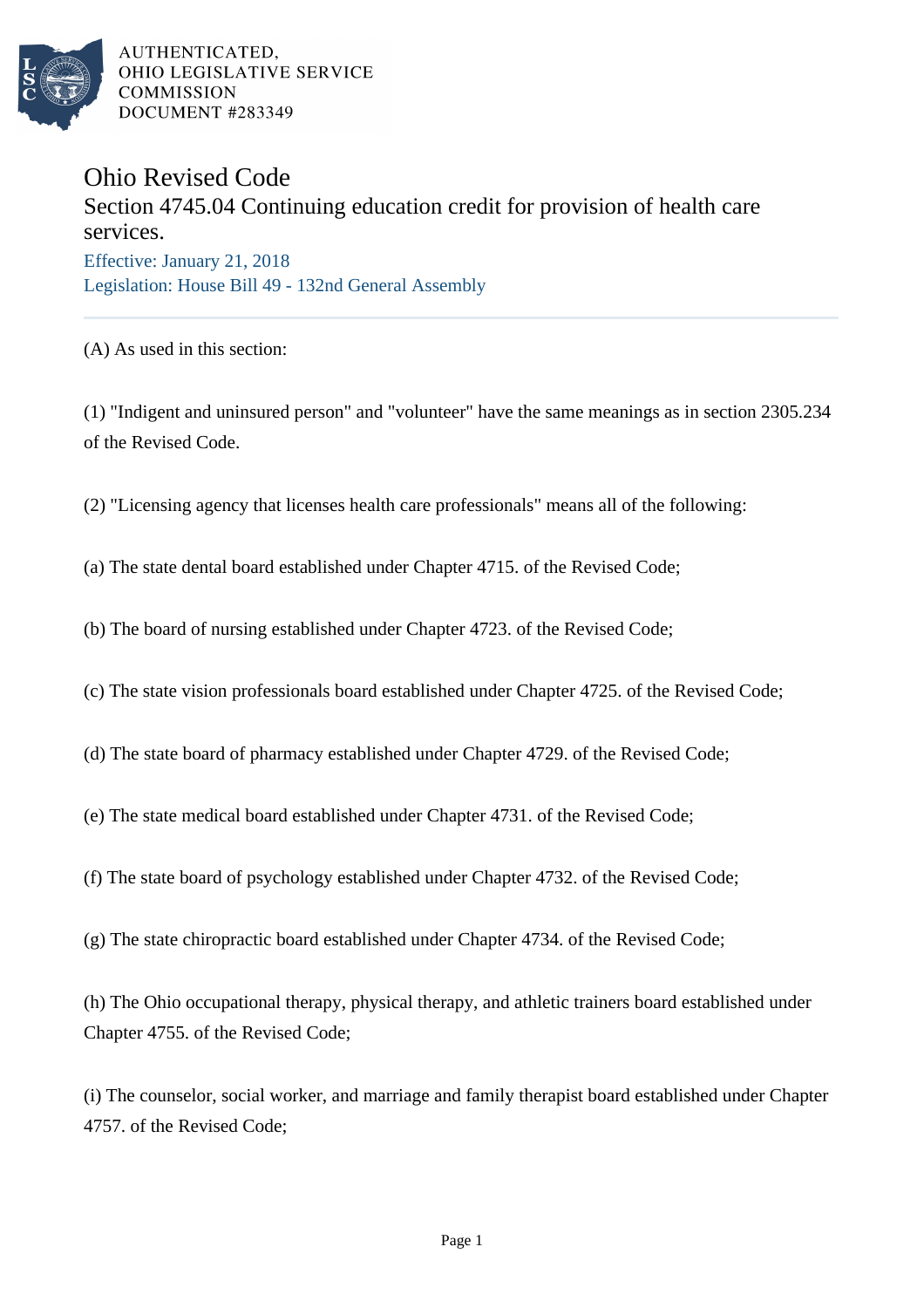

AUTHENTICATED, OHIO LEGISLATIVE SERVICE **COMMISSION** DOCUMENT #283349

## Ohio Revised Code

## Section 4745.04 Continuing education credit for provision of health care services. Effective: January 21, 2018

Legislation: House Bill 49 - 132nd General Assembly

(A) As used in this section:

(1) "Indigent and uninsured person" and "volunteer" have the same meanings as in section 2305.234 of the Revised Code.

(2) "Licensing agency that licenses health care professionals" means all of the following:

(a) The state dental board established under Chapter 4715. of the Revised Code;

(b) The board of nursing established under Chapter 4723. of the Revised Code;

(c) The state vision professionals board established under Chapter 4725. of the Revised Code;

(d) The state board of pharmacy established under Chapter 4729. of the Revised Code;

(e) The state medical board established under Chapter 4731. of the Revised Code;

(f) The state board of psychology established under Chapter 4732. of the Revised Code;

(g) The state chiropractic board established under Chapter 4734. of the Revised Code;

(h) The Ohio occupational therapy, physical therapy, and athletic trainers board established under Chapter 4755. of the Revised Code;

(i) The counselor, social worker, and marriage and family therapist board established under Chapter 4757. of the Revised Code;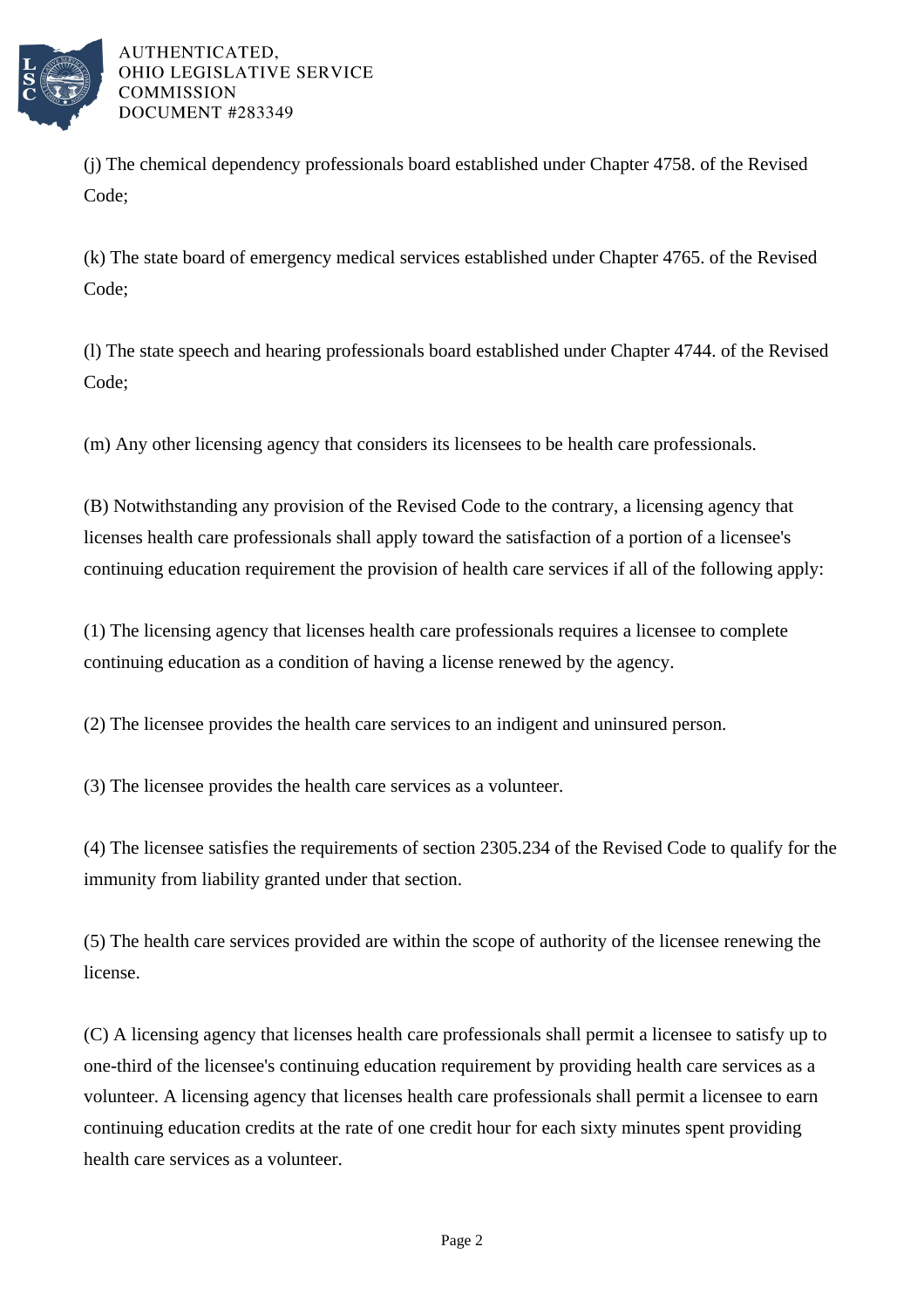

AUTHENTICATED. OHIO LEGISLATIVE SERVICE **COMMISSION** DOCUMENT #283349

(j) The chemical dependency professionals board established under Chapter 4758. of the Revised Code;

(k) The state board of emergency medical services established under Chapter 4765. of the Revised Code;

(l) The state speech and hearing professionals board established under Chapter 4744. of the Revised Code;

(m) Any other licensing agency that considers its licensees to be health care professionals.

(B) Notwithstanding any provision of the Revised Code to the contrary, a licensing agency that licenses health care professionals shall apply toward the satisfaction of a portion of a licensee's continuing education requirement the provision of health care services if all of the following apply:

(1) The licensing agency that licenses health care professionals requires a licensee to complete continuing education as a condition of having a license renewed by the agency.

(2) The licensee provides the health care services to an indigent and uninsured person.

(3) The licensee provides the health care services as a volunteer.

(4) The licensee satisfies the requirements of section 2305.234 of the Revised Code to qualify for the immunity from liability granted under that section.

(5) The health care services provided are within the scope of authority of the licensee renewing the license.

(C) A licensing agency that licenses health care professionals shall permit a licensee to satisfy up to one-third of the licensee's continuing education requirement by providing health care services as a volunteer. A licensing agency that licenses health care professionals shall permit a licensee to earn continuing education credits at the rate of one credit hour for each sixty minutes spent providing health care services as a volunteer.